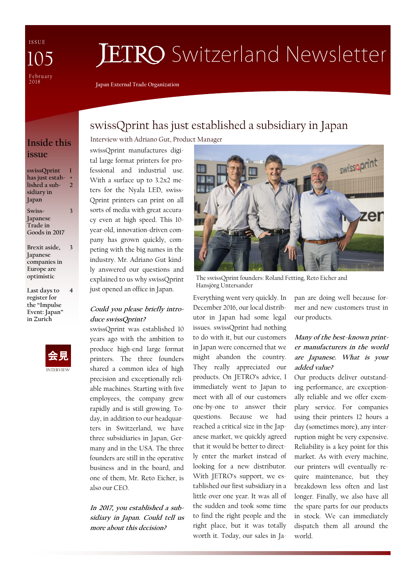I S S U E February<br>2018 105

# **JETRO** Switzerland Newsletter

**Japan External Trade Organization**

## **issue**

**swissQprint has just estab-+ lished a subsidiary in Japan 1 2**

**Swiss-Japanese Trade in Goods in 2017** **3**

**Brexit aside, Japanese companies in Europe are optimistic 3**

**Last days to register for the "Impulse Event: Japan" in Zurich 4**



swissQprint has just established a subsidiary in Japan Interview with Adriano Gut, Product Manager **Inside this** 

> swissQprint manufactures digital large format printers for professional and industrial use. With a surface up to 3.2x2 meters for the Nyala LED, swiss-Qprint printers can print on all sorts of media with great accuracy even at high speed. This 10 year-old, innovation-driven company has grown quickly, competing with the big names in the industry. Mr. Adriano Gut kindly answered our questions and explained to us why swissQprint just opened an office in Japan.

#### **Could you please briefly introduce swissQprint?**

swissQprint was established 10 years ago with the ambition to produce high-end large format printers. The three founders shared a common idea of high precision and exceptionally reliable machines. Starting with five employees, the company grew rapidly and is still growing. Today, in addition to our headquarters in Switzerland, we have three subsidiaries in Japan, Germany and in the USA. The three founders are still in the operative business and in the board, and one of them, Mr. Reto Eicher, is also our CEO.

**In 2017, you established a subsidiary in Japan. Could tell us more about this decision?**



The swissQprint founders: Roland Fetting, Reto Eicher and Hansjörg Untersander

Everything went very quickly. In December 2016, our local distributor in Japan had some legal issues. swissQprint had nothing to do with it, but our customers in Japan were concerned that we might abandon the country. They really appreciated our products. On JETRO's advice, I immediately went to Japan to meet with all of our customers one-by-one to answer their questions. Because we had reached a critical size in the Japanese market, we quickly agreed that it would be better to directly enter the market instead of looking for a new distributor. With JETRO's support, we established our first subsidiary in a little over one year. It was all of the sudden and took some time to find the right people and the right place, but it was totally worth it. Today, our sales in Japan are doing well because former and new customers trust in our products.

#### **Many of the best-known printer manufacturers in the world are Japanese. What is your added value?**

Our products deliver outstanding performance, are exceptionally reliable and we offer exemplary service. For companies using their printers 12 hours a day (sometimes more), any interruption might be very expensive. Reliability is a key point for this market. As with every machine, our printers will eventually require maintenance, but they breakdown less often and last longer. Finally, we also have all the spare parts for our products in stock. We can immediately dispatch them all around the world.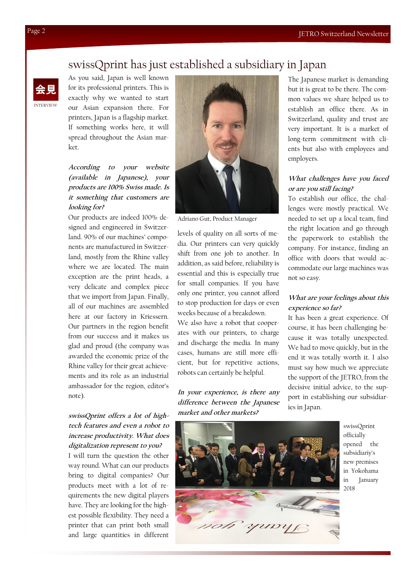#### swissQprint has just established a subsidiary in Japan

INTERVIEW 会見

As you said, Japan is well known for its professional printers. This is exactly why we wanted to start our Asian expansion there. For printers, Japan is a flagship market. If something works here, it will spread throughout the Asian market.

#### **According to your website (available in Japanese), your products are 100% Swiss made. Is it something that customers are looking for?**

Our products are indeed 100% designed and engineered in Switzerland. 90% of our machines' components are manufactured in Switzerland, mostly from the Rhine valley where we are located. The main exception are the print heads, a very delicate and complex piece that we import from Japan. Finally, all of our machines are assembled here at our factory in Kriessern. Our partners in the region benefit from our success and it makes us glad and proud (the company was awarded the economic prize of the Rhine valley for their great achievements and its role as an industrial ambassador for the region, editor's note).

#### **swissQprint offers a lot of hightech features and even a robot to increase productivity. What does digitalization represent to you?**

I will turn the question the other way round. What can our products bring to digital companies? Our products meet with a lot of requirements the new digital players have. They are looking for the highest possible flexibility. They need a printer that can print both small and large quantities in different



Adriano Gut, Product Manager

levels of quality on all sorts of media. Our printers can very quickly shift from one job to another. In addition, as said before, reliability is essential and this is especially true for small companies. If you have only one printer, you cannot afford to stop production for days or even weeks because of a breakdown.

We also have a robot that cooperates with our printers, to charge and discharge the media. In many cases, humans are still more efficient, but for repetitive actions, robots can certainly be helpful.

**In your experience, is there any difference between the Japanese market and other markets?**



#### **What challenges have you faced or are you still facing?**

To establish our office, the challenges were mostly practical. We needed to set up a local team, find the right location and go through the paperwork to establish the company. For instance, finding an office with doors that would accommodate our large machines was not so easy.

#### **What are your feelings about this experience so far?**

It has been a great experience. Of course, it has been challenging because it was totally unexpected. We had to move quickly, but in the end it was totally worth it. I also must say how much we appreciate the support of the JETRO, from the decisive initial advice, to the support in establishing our subsidiaries in Japan.



swissQprint officially opened the subsidiariy's new premises in Yokohama in January 2018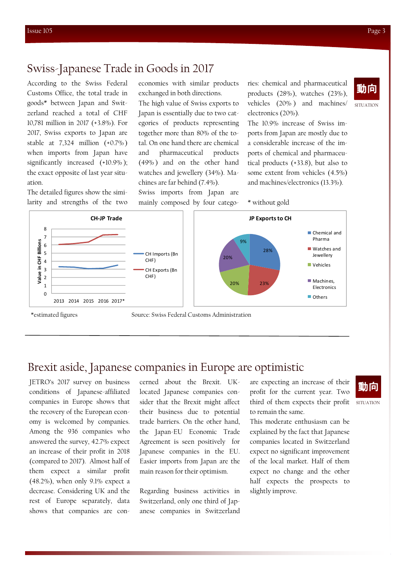SITUATION

動向

#### Swiss-Japanese Trade in Goods in 2017

According to the Swiss Federal Customs Office, the total trade in goods\* between Japan and Switzerland reached a total of CHF 10,781 million in 2017 (+3.8%). For 2017, Swiss exports to Japan are stable at 7,324 million (+0.7% ) when imports from Japan have significantly increased (+10.9% ); the exact opposite of last year situation.

The detailed figures show the similarity and strengths of the two economies with similar products exchanged in both directions.

The high value of Swiss exports to Japan is essentially due to two categories of products representing together more than 80% of the total. On one hand there are chemical and pharmaceutical products (49% ) and on the other hand watches and jewellery (34%). Machines are far behind (7.4%).

Swiss imports from Japan are mainly composed by four catego-

ries: chemical and pharmaceutical products (28%), watches (23%), vehicles (20% ) and machines/ electronics (20%).

The 10.9% increase of Swiss imports from Japan are mostly due to a considerable increase of the imports of chemical and pharmaceutical products (+33.8), but also to some extent from vehicles (4.5%) and machines/electronics (13.3%).

\* without gold



#### Brexit aside, Japanese companies in Europe are optimistic

JETRO's 2017 survey on business conditions of Japanese-affiliated companies in Europe shows that the recovery of the European economy is welcomed by companies. Among the 936 companies who answered the survey, 42.7% expect an increase of their profit in 2018 (compared to 2017). Almost half of them expect a similar profit (48.2%), when only 9.1% expect a decrease. Considering UK and the rest of Europe separately, data shows that companies are concerned about the Brexit. UKlocated Japanese companies consider that the Brexit might affect their business due to potential trade barriers. On the other hand, the Japan-EU Economic Trade Agreement is seen positively for Japanese companies in the EU. Easier imports from Japan are the main reason for their optimism.

Regarding business activities in Switzerland, only one third of Japanese companies in Switzerland

are expecting an increase of their profit for the current year. Two third of them expects their profit to remain the same.

This moderate enthusiasm can be explained by the fact that Japanese companies located in Switzerland expect no significant improvement of the local market. Half of them expect no change and the other half expects the prospects to slightly improve.

## 動向

SITUATION